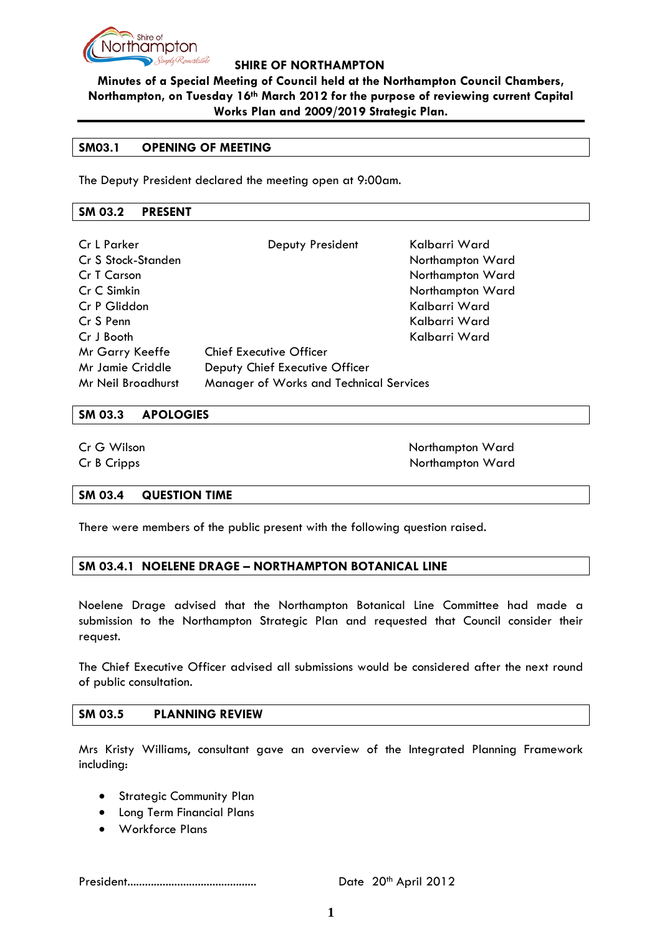

**Minutes of a Special Meeting of Council held at the Northampton Council Chambers, Northampton, on Tuesday 16th March 2012 for the purpose of reviewing current Capital Works Plan and 2009/2019 Strategic Plan.**

### **SM03.1 OPENING OF MEETING**

The Deputy President declared the meeting open at 9:00am.

#### **SM 03.2 PRESENT**

| Cr L Parker<br>Cr S Stock-Standen<br>Cr T Carson<br>Cr C Simkin<br>Cr P Gliddon<br>Cr S Penn<br>Cr J Booth | Deputy President                                                                                            | Kalbarri Ward<br>Northampton Ward<br>Northampton Ward<br>Northampton Ward<br>Kalbarri Ward<br>Kalbarri Ward<br>Kalbarri Ward |
|------------------------------------------------------------------------------------------------------------|-------------------------------------------------------------------------------------------------------------|------------------------------------------------------------------------------------------------------------------------------|
| Mr Garry Keeffe<br>Mr Jamie Criddle<br>Mr Neil Broadhurst                                                  | <b>Chief Executive Officer</b><br>Deputy Chief Executive Officer<br>Manager of Works and Technical Services |                                                                                                                              |

#### **SM 03.3 APOLOGIES**

**Cr G Wilson** Northampton Ward Cr B Cripps Northampton Ward

### **SM 03.4 QUESTION TIME**

There were members of the public present with the following question raised.

### **SM 03.4.1 NOELENE DRAGE – NORTHAMPTON BOTANICAL LINE**

Noelene Drage advised that the Northampton Botanical Line Committee had made a submission to the Northampton Strategic Plan and requested that Council consider their request.

The Chief Executive Officer advised all submissions would be considered after the next round of public consultation.

### **SM 03.5 PLANNING REVIEW**

Mrs Kristy Williams, consultant gave an overview of the Integrated Planning Framework including:

- Strategic Community Plan
- Long Term Financial Plans
- Workforce Plans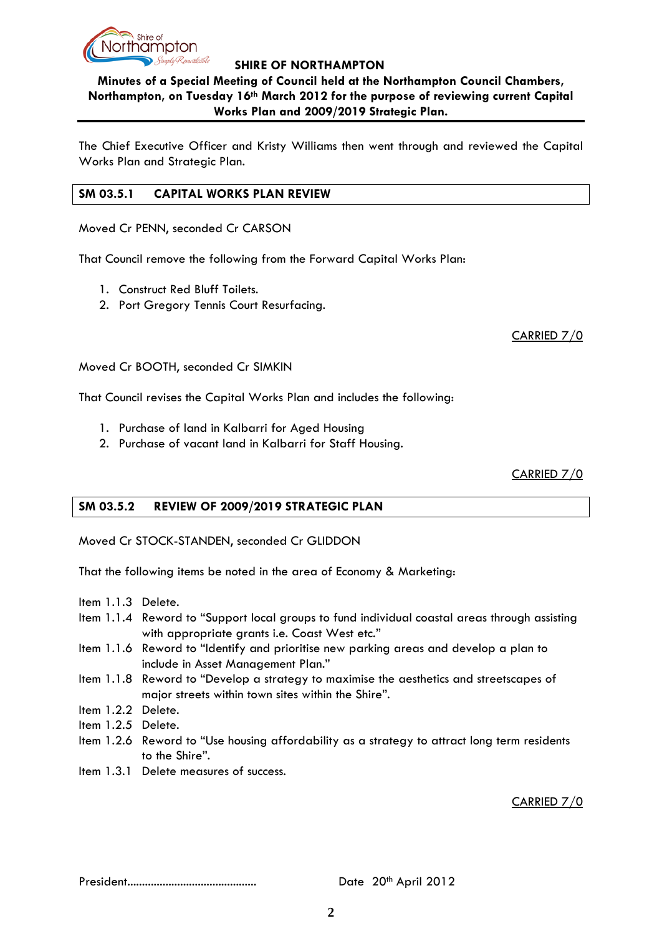

# **Minutes of a Special Meeting of Council held at the Northampton Council Chambers, Northampton, on Tuesday 16th March 2012 for the purpose of reviewing current Capital Works Plan and 2009/2019 Strategic Plan.**

The Chief Executive Officer and Kristy Williams then went through and reviewed the Capital Works Plan and Strategic Plan.

### **SM 03.5.1 CAPITAL WORKS PLAN REVIEW**

Moved Cr PENN, seconded Cr CARSON

That Council remove the following from the Forward Capital Works Plan:

- 1. Construct Red Bluff Toilets.
- 2. Port Gregory Tennis Court Resurfacing.

CARRIED 7/0

Moved Cr BOOTH, seconded Cr SIMKIN

That Council revises the Capital Works Plan and includes the following:

- 1. Purchase of land in Kalbarri for Aged Housing
- 2. Purchase of vacant land in Kalbarri for Staff Housing.

CARRIED 7/0

# **SM 03.5.2 REVIEW OF 2009/2019 STRATEGIC PLAN**

Moved Cr STOCK-STANDEN, seconded Cr GLIDDON

That the following items be noted in the area of Economy & Marketing:

- Item 1.1.3 Delete.
- Item 1.1.4 Reword to "Support local groups to fund individual coastal areas through assisting with appropriate grants i.e. Coast West etc."
- Item 1.1.6 Reword to "Identify and prioritise new parking areas and develop a plan to include in Asset Management Plan."
- Item 1.1.8 Reword to "Develop a strategy to maximise the aesthetics and streetscapes of major streets within town sites within the Shire".
- Item 1.2.2 Delete.
- Item 1.2.5 Delete.
- Item 1.2.6 Reword to "Use housing affordability as a strategy to attract long term residents to the Shire".
- Item 1.3.1 Delete measures of success.

CARRIED 7/0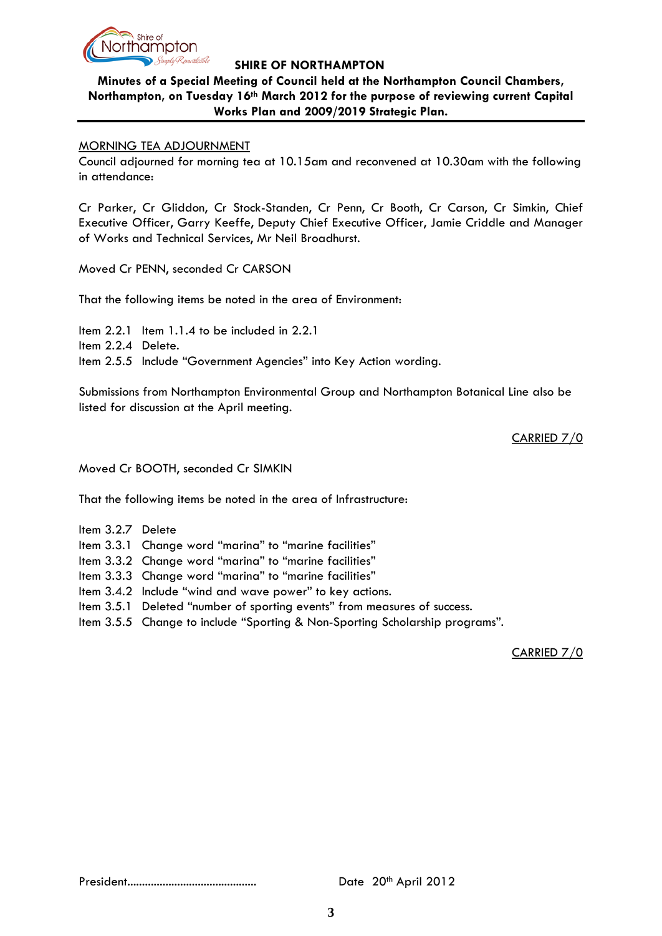

# **Minutes of a Special Meeting of Council held at the Northampton Council Chambers, Northampton, on Tuesday 16th March 2012 for the purpose of reviewing current Capital Works Plan and 2009/2019 Strategic Plan.**

### MORNING TEA ADJOURNMENT

Council adjourned for morning tea at 10.15am and reconvened at 10.30am with the following in attendance:

Cr Parker, Cr Gliddon, Cr Stock-Standen, Cr Penn, Cr Booth, Cr Carson, Cr Simkin, Chief Executive Officer, Garry Keeffe, Deputy Chief Executive Officer, Jamie Criddle and Manager of Works and Technical Services, Mr Neil Broadhurst.

Moved Cr PENN, seconded Cr CARSON

That the following items be noted in the area of Environment:

Item 2.2.1 Item 1.1.4 to be included in 2.2.1 Item 2.2.4 Delete. Item 2.5.5 Include "Government Agencies" into Key Action wording.

Submissions from Northampton Environmental Group and Northampton Botanical Line also be listed for discussion at the April meeting.

CARRIED 7/0

Moved Cr BOOTH, seconded Cr SIMKIN

That the following items be noted in the area of Infrastructure:

- Item 3.2.7 Delete
- Item 3.3.1 Change word "marina" to "marine facilities"
- Item 3.3.2 Change word "marina" to "marine facilities"
- Item 3.3.3 Change word "marina" to "marine facilities"
- Item 3.4.2 Include "wind and wave power" to key actions.
- Item 3.5.1 Deleted "number of sporting events" from measures of success.
- Item 3.5.5 Change to include "Sporting & Non-Sporting Scholarship programs".

CARRIED 7/0